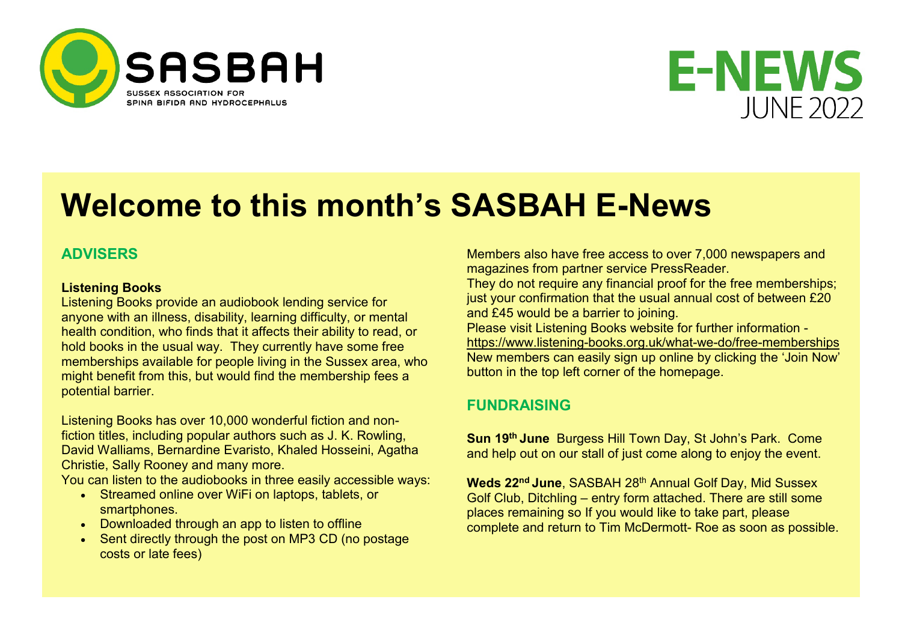



# **Welcome to this month's SASBAH E-News**

# **ADVISERS**

#### **Listening Books**

Listening Books provide an audiobook lending service for anyone with an illness, disability, learning difficulty, or mental health condition, who finds that it affects their ability to read, or hold books in the usual way. They currently have some free memberships available for people living in the Sussex area, who might benefit from this, but would find the membership fees a potential barrier.

Listening Books has over 10,000 wonderful fiction and nonfiction titles, including popular authors such as J. K. Rowling, David Walliams, Bernardine Evaristo, Khaled Hosseini, Agatha Christie, Sally Rooney and many more.

You can listen to the audiobooks in three easily accessible ways:

- Streamed online over WiFi on laptops, tablets, or smartphones.
- Downloaded through an app to listen to offline
- Sent directly through the post on MP3 CD (no postage costs or late fees)

Members also have free access to over 7,000 newspapers and magazines from partner service PressReader.

They do not require any financial proof for the free memberships; just your confirmation that the usual annual cost of between £20 and £45 would be a barrier to joining.

Please visit Listening Books website for further information -

<https://www.listening-books.org.uk/what-we-do/free-memberships> New members can easily sign up online by clicking the 'Join Now' button in the top left corner of the homepage.

# **FUNDRAISING**

**Sun 19th June** Burgess Hill Town Day, St John's Park. Come and help out on our stall of just come along to enjoy the event.

**Weds 22<sup>nd</sup> June**, SASBAH 28<sup>th</sup> Annual Golf Day, Mid Sussex Golf Club, Ditchling – entry form attached. There are still some places remaining so If you would like to take part, please complete and return to Tim McDermott- Roe as soon as possible.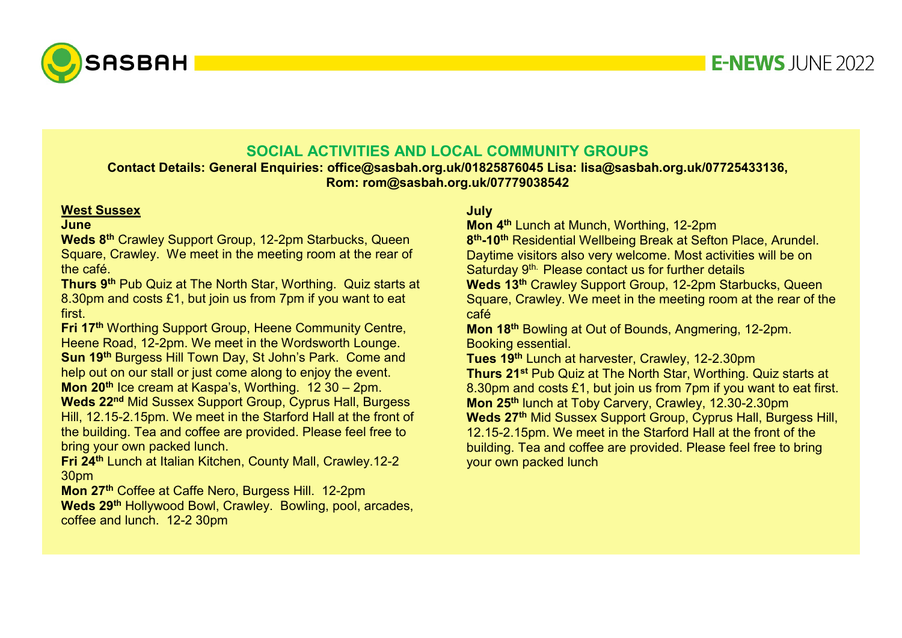

# **SOCIAL ACTIVITIES AND LOCAL COMMUNITY GROUPS**

**Contact Details: General Enquiries: office@sasbah.org.uk/01825876045 Lisa: lisa@sasbah.org.uk/07725433136, Rom: rom@sasbah.org.uk/07779038542**

#### **West Sussex**

#### **June**

**Weds 8th** Crawley Support Group, 12-2pm Starbucks, Queen Square, Crawley. We meet in the meeting room at the rear of the café.

**Thurs 9th** Pub Quiz at The North Star, Worthing. Quiz starts at 8.30pm and costs £1, but join us from 7pm if you want to eat first.

**Fri 17th** Worthing Support Group, Heene Community Centre, Heene Road, 12-2pm. We meet in the Wordsworth Lounge. **Sun 19th** Burgess Hill Town Day, St John's Park. Come and help out on our stall or just come along to enjoy the event. **Mon 20th** Ice cream at Kaspa's, Worthing. 12 30 – 2pm.

**Weds 22nd** Mid Sussex Support Group, Cyprus Hall, Burgess Hill, 12.15-2.15pm. We meet in the Starford Hall at the front of the building. Tea and coffee are provided. Please feel free to bring your own packed lunch.

**Fri 24th** Lunch at Italian Kitchen, County Mall, Crawley.12-2 30pm

**Mon 27th** Coffee at Caffe Nero, Burgess Hill. 12-2pm **Weds 29th** Hollywood Bowl, Crawley. Bowling, pool, arcades, coffee and lunch. 12-2 30pm

# **July**

**Mon 4<sup>th</sup> Lunch at Munch, Worthing, 12-2pm** 

**8th-10th** Residential Wellbeing Break at Sefton Place, Arundel. Daytime visitors also very welcome. Most activities will be on Saturday 9<sup>th.</sup> Please contact us for further details

**Weds 13th** Crawley Support Group, 12-2pm Starbucks, Queen Square, Crawley. We meet in the meeting room at the rear of the café

**Mon 18th** Bowling at Out of Bounds, Angmering, 12-2pm. Booking essential.

**Tues 19th** Lunch at harvester, Crawley, 12-2.30pm **Thurs 21st** Pub Quiz at The North Star, Worthing. Quiz starts at 8.30pm and costs £1, but join us from 7pm if you want to eat first. **Mon 25th** lunch at Toby Carvery, Crawley, 12.30-2.30pm **Weds 27th** Mid Sussex Support Group, Cyprus Hall, Burgess Hill, 12.15-2.15pm. We meet in the Starford Hall at the front of the building. Tea and coffee are provided. Please feel free to bring your own packed lunch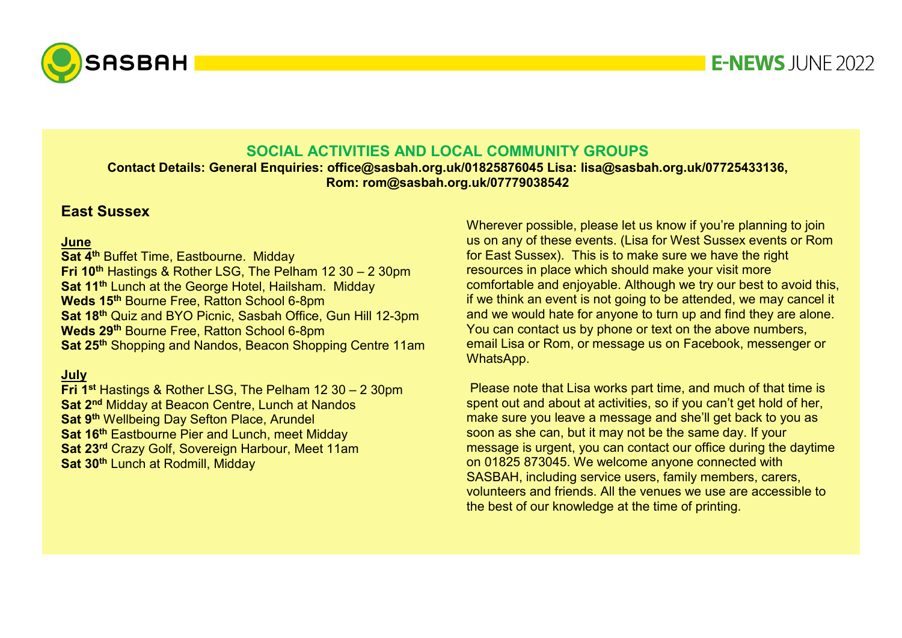

# **SOCIAL ACTIVITIES AND LOCAL COMMUNITY GROUPS**

**Contact Details: General Enquiries: office@sasbah.org.uk/01825876045 Lisa: lisa@sasbah.org.uk/07725433136, Rom: rom@sasbah.org.uk/07779038542**

# **East Sussex**

#### **June**

**Sat 4<sup>th</sup> Buffet Time, Eastbourne. Midday Fri 10th** Hastings & Rother LSG, The Pelham 12 30 – 2 30pm **Sat 11<sup>th</sup>** Lunch at the George Hotel, Hailsham. Midday **Weds 15th** Bourne Free, Ratton School 6-8pm **Sat 18th** Quiz and BYO Picnic, Sasbah Office, Gun Hill 12-3pm **Weds 29th** Bourne Free, Ratton School 6-8pm **Sat 25th** Shopping and Nandos, Beacon Shopping Centre 11am

# **July**

**Fri 1st Hastings & Rother LSG, The Pelham 12 30 – 2 30pm Sat 2<sup>nd</sup> Midday at Beacon Centre, Lunch at Nandos Sat 9<sup>th</sup>** Wellbeing Day Sefton Place, Arundel **Sat 16th Eastbourne Pier and Lunch, meet Midday Sat 23rd** Crazy Golf, Sovereign Harbour, Meet 11am **Sat 30th** Lunch at Rodmill, Midday

Wherever possible, please let us know if you're planning to join us on any of these events. (Lisa for West Sussex events or Rom for East Sussex). This is to make sure we have the right resources in place which should make your visit more comfortable and enjoyable. Although we try our best to avoid this, if we think an event is not going to be attended, we may cancel it and we would hate for anyone to turn up and find they are alone. You can contact us by phone or text on the above numbers, email Lisa or Rom, or message us on Facebook, messenger or WhatsApp.

Please note that Lisa works part time, and much of that time is spent out and about at activities, so if you can't get hold of her, make sure you leave a message and she'll get back to you as soon as she can, but it may not be the same day. If your message is urgent, you can contact our office during the daytime on 01825 873045. We welcome anyone connected with SASBAH, including service users, family members, carers, volunteers and friends. All the venues we use are accessible to the best of our knowledge at the time of printing.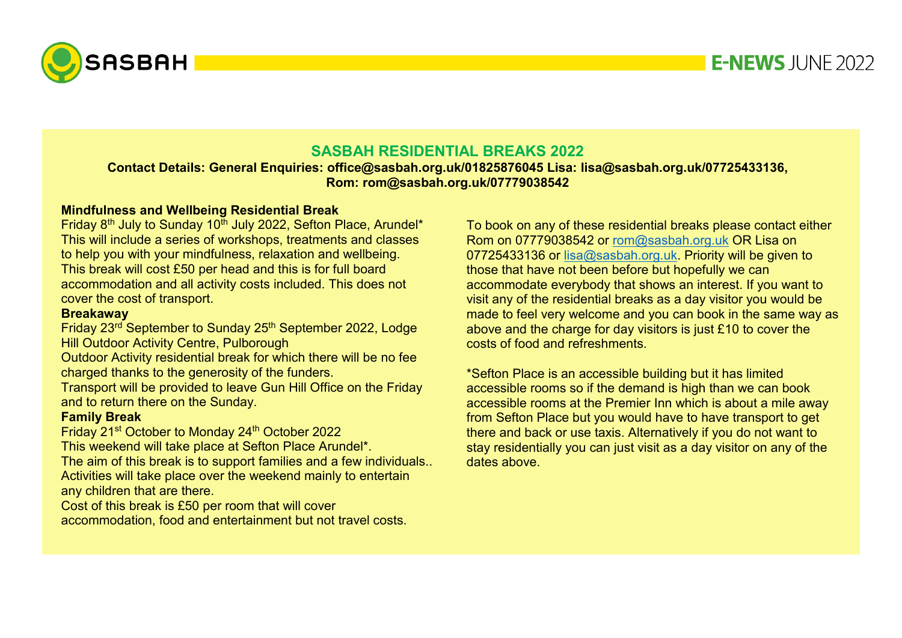

# **E-NEWS JUNF 2022**

# **SASBAH RESIDENTIAL BREAKS 2022**

**Contact Details: General Enquiries: office@sasbah.org.uk/01825876045 Lisa: lisa@sasbah.org.uk/07725433136, Rom: rom@sasbah.org.uk/07779038542**

#### **Mindfulness and Wellbeing Residential Break**

Friday 8<sup>th</sup> July to Sunday 10<sup>th</sup> July 2022, Sefton Place, Arundel\* This will include a series of workshops, treatments and classes to help you with your mindfulness, relaxation and wellbeing. This break will cost £50 per head and this is for full board accommodation and all activity costs included. This does not cover the cost of transport.

#### **Breakaway**

Friday 23rd September to Sunday 25th September 2022, Lodge Hill Outdoor Activity Centre, Pulborough

Outdoor Activity residential break for which there will be no fee charged thanks to the generosity of the funders.

Transport will be provided to leave Gun Hill Office on the Friday and to return there on the Sunday.

### **Family Break**

Friday 21st October to Monday 24th October 2022

This weekend will take place at Sefton Place Arundel\*. The aim of this break is to support families and a few individuals.. Activities will take place over the weekend mainly to entertain any children that are there.

Cost of this break is £50 per room that will cover accommodation, food and entertainment but not travel costs. To book on any of these residential breaks please contact either Rom on 07779038542 or [rom@sasbah.org.uk](mailto:rom@sasbah.org.uk) OR Lisa on 07725433136 or [lisa@sasbah.org.uk.](mailto:lisa@sasbah.org.uk) Priority will be given to those that have not been before but hopefully we can accommodate everybody that shows an interest. If you want to visit any of the residential breaks as a day visitor you would be made to feel very welcome and you can book in the same way as above and the charge for day visitors is just £10 to cover the costs of food and refreshments.

\*Sefton Place is an accessible building but it has limited accessible rooms so if the demand is high than we can book accessible rooms at the Premier Inn which is about a mile away from Sefton Place but you would have to have transport to get there and back or use taxis. Alternatively if you do not want to stay residentially you can just visit as a day visitor on any of the dates above.